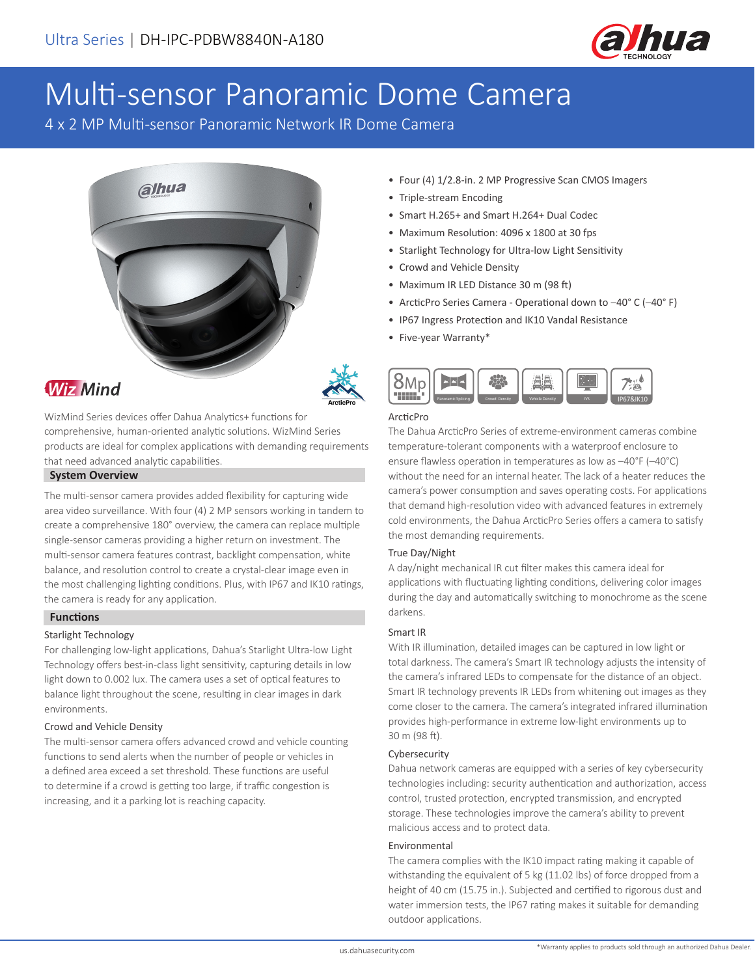

# Multi-sensor Panoramic Dome Camera

4 x 2 MP Multi-sensor Panoramic Network IR Dome Camera





## **Wiz Mind**

WizMind Series devices offer Dahua Analytics+ functions for comprehensive, human-oriented analytic solutions. WizMind Series products are ideal for complex applications with demanding requirements that need advanced analytic capabilities.

#### **System Overview**

The multi-sensor camera provides added flexibility for capturing wide area video surveillance. With four (4) 2 MP sensors working in tandem to create a comprehensive 180° overview, the camera can replace multiple single-sensor cameras providing a higher return on investment. The multi-sensor camera features contrast, backlight compensation, white balance, and resolution control to create a crystal-clear image even in the most challenging lighting conditions. Plus, with IP67 and IK10 ratings, the camera is ready for any application.

#### **Functions**

#### Starlight Technology

For challenging low-light applications, Dahua's Starlight Ultra-low Light Technology offers best-in-class light sensitivity, capturing details in low light down to 0.002 lux. The camera uses a set of optical features to balance light throughout the scene, resulting in clear images in dark environments.

#### Crowd and Vehicle Density

The multi-sensor camera offers advanced crowd and vehicle counting functions to send alerts when the number of people or vehicles in a defined area exceed a set threshold. These functions are useful to determine if a crowd is getting too large, if traffic congestion is increasing, and it a parking lot is reaching capacity.

- Four (4) 1/2.8-in. 2 MP Progressive Scan CMOS Imagers
- Triple-stream Encoding
- Smart H.265+ and Smart H.264+ Dual Codec
- Maximum Resolution: 4096 x 1800 at 30 fps
- Starlight Technology for Ultra-low Light Sensitivity
- Crowd and Vehicle Density
- Maximum IR LED Distance 30 m (98 ft)
- ArcticPro Series Camera Operational down to –40° C (–40° F)
- IP67 Ingress Protection and IK10 Vandal Resistance
- Five-year Warranty\*



#### ArcticPro

The Dahua ArcticPro Series of extreme-environment cameras combine temperature-tolerant components with a waterproof enclosure to ensure flawless operation in temperatures as low as –40°F (–40°C) without the need for an internal heater. The lack of a heater reduces the camera's power consumption and saves operating costs. For applications that demand high-resolution video with advanced features in extremely cold environments, the Dahua ArcticPro Series offers a camera to satisfy the most demanding requirements.

#### True Day/Night

A day/night mechanical IR cut filter makes this camera ideal for applications with fluctuating lighting conditions, delivering color images during the day and automatically switching to monochrome as the scene darkens.

#### Smart IR

With IR illumination, detailed images can be captured in low light or total darkness. The camera's Smart IR technology adjusts the intensity of the camera's infrared LEDs to compensate for the distance of an object. Smart IR technology prevents IR LEDs from whitening out images as they come closer to the camera. The camera's integrated infrared illumination provides high-performance in extreme low-light environments up to 30 m (98 ft).

#### Cybersecurity

Dahua network cameras are equipped with a series of key cybersecurity technologies including: security authentication and authorization, access control, trusted protection, encrypted transmission, and encrypted storage. These technologies improve the camera's ability to prevent malicious access and to protect data.

#### Environmental

The camera complies with the IK10 impact rating making it capable of withstanding the equivalent of 5 kg (11.02 lbs) of force dropped from a height of 40 cm (15.75 in.). Subjected and certified to rigorous dust and water immersion tests, the IP67 rating makes it suitable for demanding outdoor applications.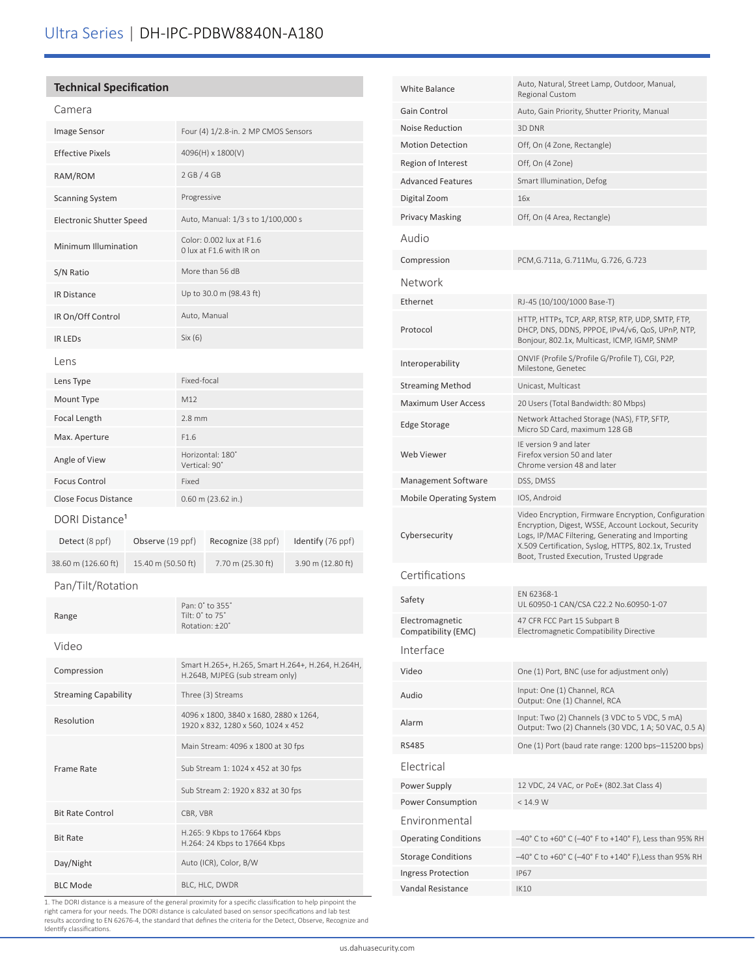#### **Technical Specification**

| Camera                          |                    |                                                                                      |                    |                   |
|---------------------------------|--------------------|--------------------------------------------------------------------------------------|--------------------|-------------------|
| Image Sensor                    |                    | Four (4) 1/2.8-in. 2 MP CMOS Sensors                                                 |                    |                   |
| <b>Effective Pixels</b>         |                    | 4096(H) x 1800(V)                                                                    |                    |                   |
| RAM/ROM                         |                    | 2 GB / 4 GB                                                                          |                    |                   |
| <b>Scanning System</b>          |                    | Progressive                                                                          |                    |                   |
| <b>Electronic Shutter Speed</b> |                    | Auto, Manual: 1/3 s to 1/100,000 s                                                   |                    |                   |
| Minimum Illumination            |                    | Color: 0.002 lux at F1.6<br>0 lux at F1.6 with IR on                                 |                    |                   |
| S/N Ratio                       |                    | More than 56 dB                                                                      |                    |                   |
| <b>IR Distance</b>              |                    | Up to 30.0 m (98.43 ft)                                                              |                    |                   |
| IR On/Off Control               |                    | Auto, Manual                                                                         |                    |                   |
| <b>IR LEDS</b>                  |                    | Six (6)                                                                              |                    |                   |
| Lens                            |                    |                                                                                      |                    |                   |
| Lens Type                       |                    | Fixed-focal                                                                          |                    |                   |
| Mount Type                      |                    | M12                                                                                  |                    |                   |
| Focal Length                    |                    | $2.8$ mm                                                                             |                    |                   |
| Max. Aperture                   |                    | F1.6                                                                                 |                    |                   |
| Angle of View                   |                    | Horizontal: 180°<br>Vertical: 90°                                                    |                    |                   |
| <b>Focus Control</b>            |                    | Fixed                                                                                |                    |                   |
| <b>Close Focus Distance</b>     |                    | $0.60$ m (23.62 in.)                                                                 |                    |                   |
| DORI Distance <sup>1</sup>      |                    |                                                                                      |                    |                   |
| Detect (8 ppf)                  | Observe (19 ppf)   |                                                                                      | Recognize (38 ppf) | Identify (76 ppf) |
| 38.60 m (126.60 ft)             | 15.40 m (50.50 ft) |                                                                                      | 7.70 m (25.30 ft)  | 3.90 m (12.80 ft) |
| Pan/Tilt/Rotation               |                    |                                                                                      |                    |                   |
| Range                           |                    | Pan: 0° to 355°<br>Tilt: 0° to 75°<br>Rotation: ±20°                                 |                    |                   |
| Video                           |                    |                                                                                      |                    |                   |
| Compression                     |                    | Smart H.265+, H.265, Smart H.264+, H.264, H.264H,<br>H.264B, MJPEG (sub stream only) |                    |                   |
| <b>Streaming Capability</b>     |                    | Three (3) Streams                                                                    |                    |                   |
| Resolution                      |                    | 4096 x 1800, 3840 x 1680, 2880 x 1264,<br>1920 x 832, 1280 x 560, 1024 x 452         |                    |                   |
|                                 |                    | Main Stream: 4096 x 1800 at 30 fps                                                   |                    |                   |
| Frame Rate                      |                    | Sub Stream 1: 1024 x 452 at 30 fps                                                   |                    |                   |

| White Balance                          | Auto, Natural, Street Lamp, Outdoor, Manual,<br>Regional Custom                                                                                                                                                                                                    |
|----------------------------------------|--------------------------------------------------------------------------------------------------------------------------------------------------------------------------------------------------------------------------------------------------------------------|
| Gain Control                           | Auto, Gain Priority, Shutter Priority, Manual                                                                                                                                                                                                                      |
| <b>Noise Reduction</b>                 | 3D DNR                                                                                                                                                                                                                                                             |
| <b>Motion Detection</b>                | Off, On (4 Zone, Rectangle)                                                                                                                                                                                                                                        |
| Region of Interest                     | Off, On (4 Zone)                                                                                                                                                                                                                                                   |
| <b>Advanced Features</b>               | Smart Illumination, Defog                                                                                                                                                                                                                                          |
| Digital Zoom                           | 16x                                                                                                                                                                                                                                                                |
| <b>Privacy Masking</b>                 | Off, On (4 Area, Rectangle)                                                                                                                                                                                                                                        |
| Audio                                  |                                                                                                                                                                                                                                                                    |
| Compression                            | PCM,G.711a, G.711Mu, G.726, G.723                                                                                                                                                                                                                                  |
| Network                                |                                                                                                                                                                                                                                                                    |
| Ethernet                               | RJ-45 (10/100/1000 Base-T)                                                                                                                                                                                                                                         |
| Protocol                               | HTTP, HTTPs, TCP, ARP, RTSP, RTP, UDP, SMTP, FTP,<br>DHCP, DNS, DDNS, PPPOE, IPv4/v6, QoS, UPnP, NTP,<br>Bonjour, 802.1x, Multicast, ICMP, IGMP, SNMP                                                                                                              |
| Interoperability                       | ONVIF (Profile S/Profile G/Profile T), CGI, P2P,<br>Milestone, Genetec                                                                                                                                                                                             |
| <b>Streaming Method</b>                | Unicast, Multicast                                                                                                                                                                                                                                                 |
| <b>Maximum User Access</b>             | 20 Users (Total Bandwidth: 80 Mbps)                                                                                                                                                                                                                                |
| Edge Storage                           | Network Attached Storage (NAS), FTP, SFTP,<br>Micro SD Card, maximum 128 GB                                                                                                                                                                                        |
| <b>Web Viewer</b>                      | IE version 9 and later<br>Firefox version 50 and later<br>Chrome version 48 and later                                                                                                                                                                              |
| Management Software                    | DSS, DMSS                                                                                                                                                                                                                                                          |
|                                        |                                                                                                                                                                                                                                                                    |
| <b>Mobile Operating System</b>         | IOS, Android                                                                                                                                                                                                                                                       |
| Cybersecurity                          | Video Encryption, Firmware Encryption, Configuration<br>Encryption, Digest, WSSE, Account Lockout, Security<br>Logs, IP/MAC Filtering, Generating and Importing<br>X.509 Certification, Syslog, HTTPS, 802.1x, Trusted<br>Boot, Trusted Execution, Trusted Upgrade |
| Certifications                         |                                                                                                                                                                                                                                                                    |
| Safety                                 | EN 62368-1<br>UL 60950-1 CAN/CSA C22.2 No.60950-1-07                                                                                                                                                                                                               |
| Electromagnetic<br>Compatibility (EMC) | 47 CFR FCC Part 15 Subpart B<br>Electromagnetic Compatibility Directive                                                                                                                                                                                            |
| Interface                              |                                                                                                                                                                                                                                                                    |
| Video                                  | One (1) Port, BNC (use for adjustment only)                                                                                                                                                                                                                        |
| Audio                                  | Input: One (1) Channel, RCA<br>Output: One (1) Channel, RCA                                                                                                                                                                                                        |
| Alarm                                  | Input: Two (2) Channels (3 VDC to 5 VDC, 5 mA)<br>Output: Two (2) Channels (30 VDC, 1 A; 50 VAC, 0.5 A)                                                                                                                                                            |
| <b>RS485</b>                           | One (1) Port (baud rate range: 1200 bps-115200 bps)                                                                                                                                                                                                                |
| Electrical                             |                                                                                                                                                                                                                                                                    |
| Power Supply                           | 12 VDC, 24 VAC, or PoE+ (802.3at Class 4)                                                                                                                                                                                                                          |
| Power Consumption                      | < 14.9 W                                                                                                                                                                                                                                                           |
| Environmental                          |                                                                                                                                                                                                                                                                    |
| <b>Operating Conditions</b>            | -40° C to +60° C (-40° F to +140° F), Less than 95% RH                                                                                                                                                                                                             |
| <b>Storage Conditions</b>              | -40° C to +60° C (-40° F to +140° F), Less than 95% RH                                                                                                                                                                                                             |
| Ingress Protection                     | <b>IP67</b>                                                                                                                                                                                                                                                        |

1. The DORI distance is a measure of the general proximity for a specific classification to help pinpoint the right camera for your needs. The DORI distance is calculated based on sensor specifications and lab test results according to EN 62676-4, the standard that defines the criteria for the Detect, Observe, Recognize and Identify classifications.

Bit Rate Control CBR, VBR

Bit Rate H.265: 9 Kbps to 17664 Kbps Chat Rate

Day/Night Auto (ICR), Color, B/W BLC Mode BLC, HLC, DWDR

Sub Stream 2: 1920 x 832 at 30 fps

H.264: 24 Kbps to 17664 Kbps